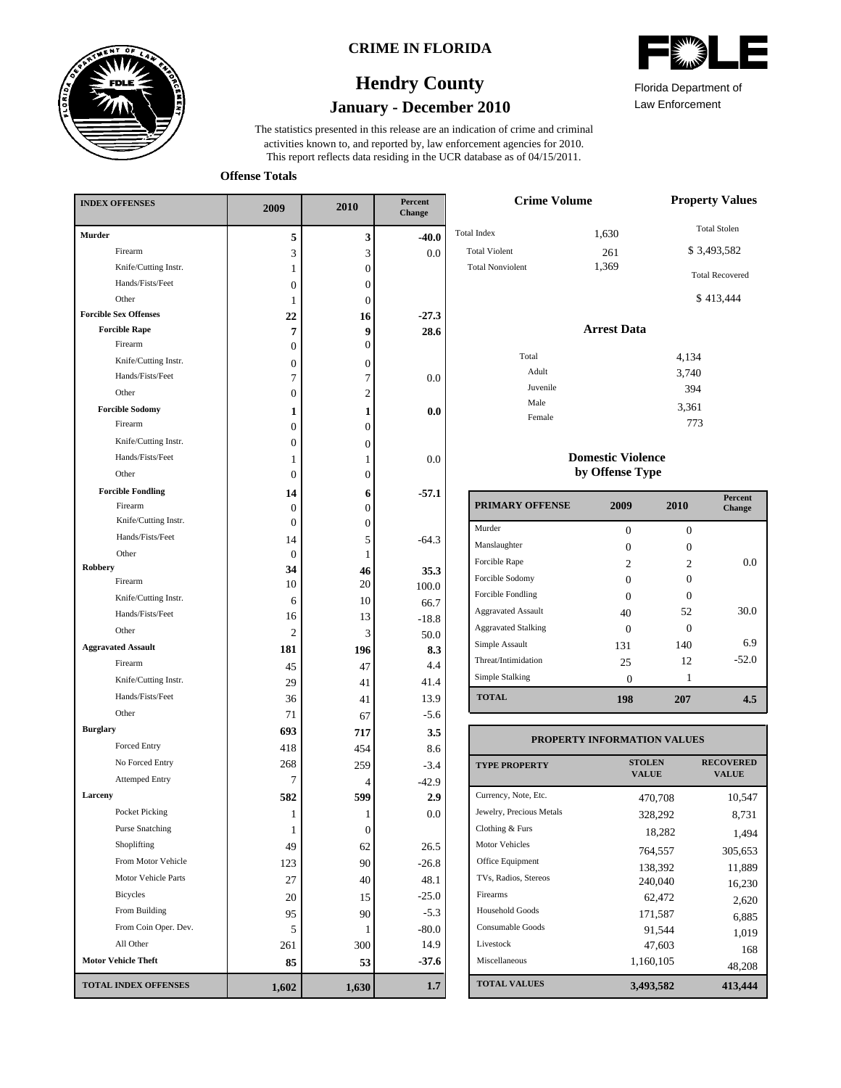

### **CRIME IN FLORIDA**

### **January - December 2010 Hendry County**

This report reflects data residing in the UCR database as of 04/15/2011. activities known to, and reported by, law enforcement agencies for 2010. The statistics presented in this release are an indication of crime and criminal



Law Enforcement Florida Department of

> 3,361 773

**Offense Totals**

| <b>INDEX OFFENSES</b>        | 2009             | 2010           | Percent<br>Change |  |
|------------------------------|------------------|----------------|-------------------|--|
| Murder                       | 5                | 3              | $-40.0$           |  |
| Firearm                      | 3                | 3              | 0.0               |  |
| Knife/Cutting Instr.         | 1                | 0              |                   |  |
| Hands/Fists/Feet             | 0                | $\overline{0}$ |                   |  |
| Other                        | 1                | $\overline{0}$ |                   |  |
| <b>Forcible Sex Offenses</b> | 22               | 16             | $-27.3$           |  |
| <b>Forcible Rape</b>         | 7                | 9              | 28.6              |  |
| Firearm                      | $\Omega$         | $\overline{0}$ |                   |  |
| Knife/Cutting Instr.         | 0                | 0              |                   |  |
| Hands/Fists/Feet             | 7                | 7              | 0.0               |  |
| Other                        | $\boldsymbol{0}$ | $\overline{2}$ |                   |  |
| <b>Forcible Sodomy</b>       | 1                | 1              | 0.0               |  |
| Firearm                      | 0                | $\overline{0}$ |                   |  |
| Knife/Cutting Instr.         | 0                | $\overline{0}$ |                   |  |
| Hands/Fists/Feet             | 1                | 1              | 0.0               |  |
| Other                        | 0                | $\overline{0}$ |                   |  |
| <b>Forcible Fondling</b>     | 14               | 6              | $-57.1$           |  |
| Firearm                      | 0                | 0              |                   |  |
| Knife/Cutting Instr.         | 0                | $\overline{0}$ |                   |  |
| Hands/Fists/Feet             | 14               | 5              | $-64.3$           |  |
| Other                        | $\mathbf{0}$     | 1              |                   |  |
| <b>Robbery</b>               | 34               | 46             | 35.3              |  |
| Firearm                      | 10               | 20             | 100.0             |  |
| Knife/Cutting Instr.         | 6                | 10             | 66.7              |  |
| Hands/Fists/Feet             | 16               | 13             | $-18.8$           |  |
| Other                        | 2                | 3              | 50.0              |  |
| <b>Aggravated Assault</b>    | 181              | 196            | 8.3               |  |
| Firearm                      | 45               | 47             | 4.4               |  |
| Knife/Cutting Instr.         | 29               | 41             | 41.4              |  |
| Hands/Fists/Feet             | 36               | 41             | 13.9              |  |
| Other                        | 71               | 67             | $-5.6$            |  |
| <b>Burglary</b>              | 693              | 717            | 3.5               |  |
| <b>Forced Entry</b>          | 418              | 454            | 8.6               |  |
| No Forced Entry              | 268              | 259            | $-3.4$            |  |
| <b>Attemped Entry</b>        | 7                | 4              | $-42.9$           |  |
| Larceny                      | 582              | 599            | 2.9               |  |
| Pocket Picking               | 1                | 1              | 0.0               |  |
| <b>Purse Snatching</b>       | 1                | 0              |                   |  |
| Shoplifting                  | 49               | 62             | 26.5              |  |
| From Motor Vehicle           | 123              | 90             | $-26.8$           |  |
| Motor Vehicle Parts          | 27               | 40             | 48.1              |  |
| Bicycles                     | 20               | 15             | $-25.0$           |  |
| From Building                | 95               | 90             | $-5.3$            |  |
| From Coin Oper. Dev.         | 5                | 1              | $-80.0$           |  |
| All Other                    | 261              | 300            | 14.9              |  |
| <b>Motor Vehicle Theft</b>   | 85               | 53             | $-37.6$           |  |
| <b>TOTAL INDEX OFFENSES</b>  | 1,602            | 1,630          | 1.7               |  |

| <b>Crime Volume</b>                                                   | <b>Property Values</b> |                                                              |
|-----------------------------------------------------------------------|------------------------|--------------------------------------------------------------|
| <b>Total Index</b><br><b>Total Violent</b><br><b>Total Nonviolent</b> | 1,630<br>261<br>1,369  | <b>Total Stolen</b><br>\$3,493,582<br><b>Total Recovered</b> |
|                                                                       |                        | \$413,444                                                    |
|                                                                       | <b>Arrest Data</b>     |                                                              |
| Total                                                                 |                        | 4,134                                                        |
| Adult                                                                 |                        | 3,740                                                        |
| Juvenile                                                              |                        | 394                                                          |
| Male                                                                  |                        | 3.361                                                        |

#### **Domestic Violence by Offense Type**

Female

| <b>PRIMARY OFFENSE</b>     | 2009                        | 2010 | Percent<br>Change |
|----------------------------|-----------------------------|------|-------------------|
| Murder                     | 0                           | 0    |                   |
| Manslaughter               | 0                           | Ω    |                   |
| Forcible Rape              | $\mathcal{D}_{\mathcal{L}}$ | 2    | 0.0               |
| Forcible Sodomy            | 0                           | 0    |                   |
| Forcible Fondling          | $\Omega$                    | ∩    |                   |
| <b>Aggravated Assault</b>  | 40                          | 52   | 30.0              |
| <b>Aggravated Stalking</b> | 0                           |      |                   |
| Simple Assault             | 131                         | 140  | 6.9               |
| Threat/Intimidation        | 25                          | 12   | $-52.0$           |
| Simple Stalking            | 0                           | 1    |                   |
| <b>TOTAL</b>               | 198                         | 207  |                   |

#### **TOTAL VALUES VALUE PROPERTY STOLEN RECOVERED PROPERTY INFORMATION VALUES** Currency, Note, Etc. Jewelry, Precious Metals Clothing & Furs Motor Vehicles Office Equipment TVs, Radios, Stereos Firearms Household Goods Consumable Goods Livestock Miscellaneous 470,708 10,547 328,292 8,731 18,282 1,494 764,557 305,653 138,392 11,889 240,040 16,230 62,472 2,620 171,587 6,885 91,544 1,019 47,603 168 1,160,105 48,208 **3,493,582 413,444**